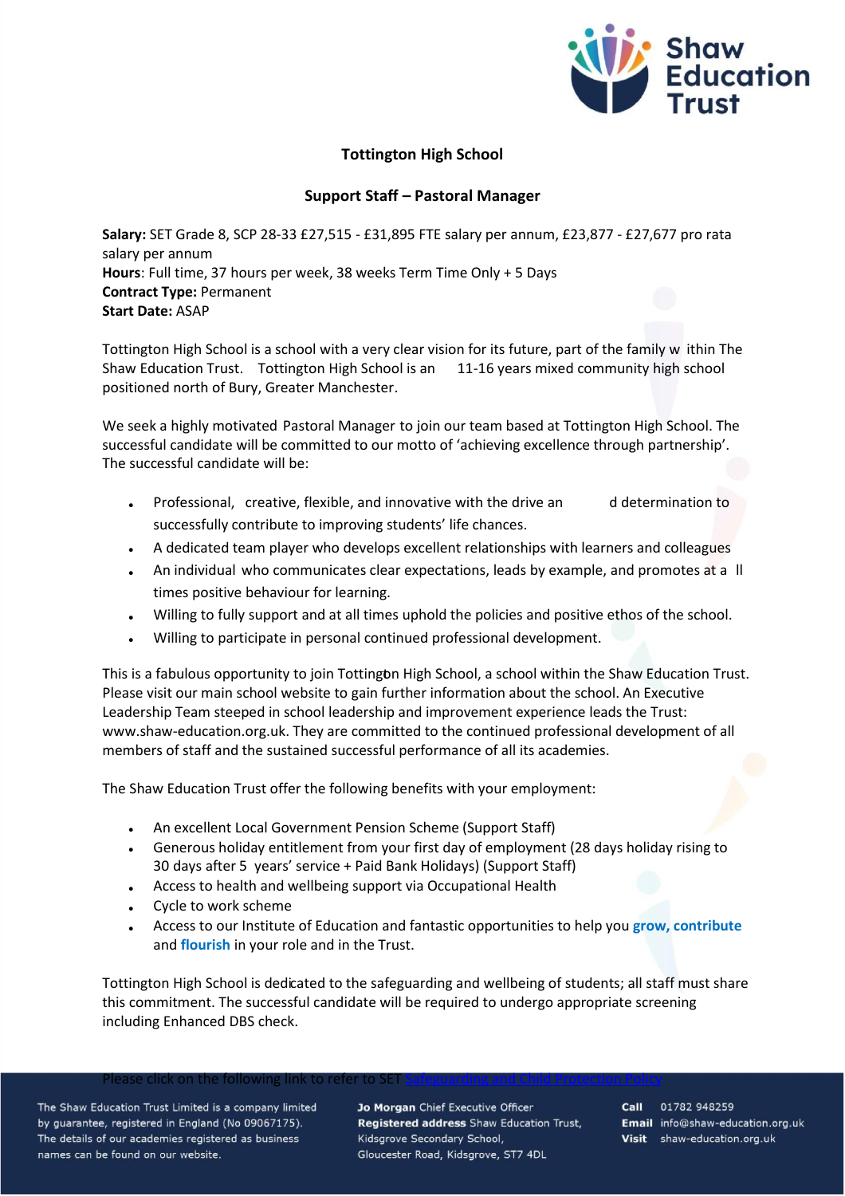

## **Tottington High School**

## **Support Staff – Pastoral Manager**

**Salary:** SET Grade 8, SCP 28-33 £27,515 - £31,895 FTE salary per annum, £23,877 - £27,677 pro rata salary per annum **Hours**: Full time, 37 hours per week, 38 weeks Term Time Only + 5 Days **Contract Type:** Permanent **Start Date:** ASAP

Tottington High School is a school with a very clear vision for its future, part of the family w ithin The Shaw Education Trust. Tottington High School is an 11-16 years mixed community high school positioned north of Bury, Greater Manchester.

We seek a highly motivated Pastoral Manager to join our team based at Tottington High School. The successful candidate will be committed to our motto of 'achieving excellence through partnership'. The successful candidate will be:

- Professional, creative, flexible, and innovative with the drive an determination to successfully contribute to improving students' life chances.
- A dedicated team player who develops excellent relationships with learners and colleagues
- An individual who communicates clear expectations, leads by example, and promotes at a ll times positive behaviour for learning.
- Willing to fully support and at all times uphold the policies and positive ethos of the school.
- Willing to participate in personal continued professional development.

This is a fabulous opportunity to join Tottington High School, a school within the Shaw Education Trust. Please visit our main school website to gain further information about the school. An Executive Leadership Team steeped in school leadership and improvement experience leads the Trust: www.shaw-education.org.uk. They are committed to the continued professional development of all members of staff and the sustained successful performance of all its academies.

The Shaw Education Trust offer the following benefits with your employment:

- An excellent Local Government Pension Scheme (Support Staff)
- Generous holiday entitlement from your first day of employment (28 days holiday rising to 30 days after 5 years' service + Paid Bank Holidays) (Support Staff)
- Access to health and wellbeing support via Occupational Health
- Cycle to work scheme
- Access to our Institute of Education and fantastic opportunities to help you **grow, contribute** and **flourish** in your role and in the Trust.

Tottington High School is dedicated to the safeguarding and wellbeing of students; all staff must share this commitment. The successful candidate will be required to undergo appropriate screening including Enhanced DBS check.

ease click on the following link to re

The Shaw Education Trust Limited is a company limited by guarantee, registered in England (No 09067175). The details of our academies registered as business names can be found on our website.

Jo Morgan Chief Executive Officer Registered address Shaw Education Trust, Kidsgrove Secondary School, Gloucester Road, Kidsgrove, ST7 4DL

Call 01782 948259 Email info@shaw-education.org.uk Visit shaw-education.org.uk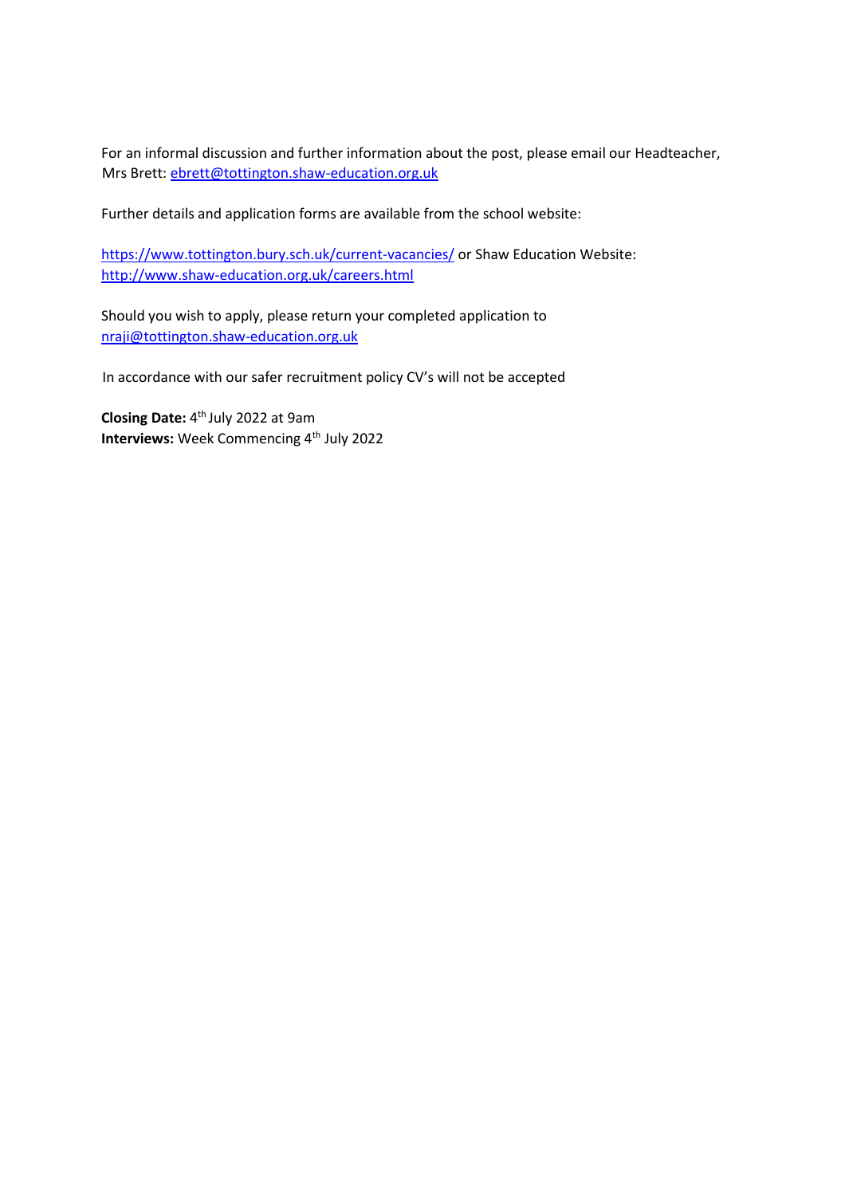For an informal discussion and further information about the post, please email our Headteacher, Mrs Brett: ebrett@tottington.shaw-education.org.uk

Further details and application forms are available from the school website:

<https://www.tottington.bury.sch.uk/current-vacancies/> [o](https://www.tottington.bury.sch.uk/current-vacancies/)r Shaw Education Website: <http://www.shaw-education.org.uk/careers.html>

Should you wish to apply, please return your completed application to nraji@tottington.shaw-education.org.uk

In accordance with our safer recruitment policy CV's will not be accepted

**Closing Date:** 4 th July 2022 at 9am **Interviews:** Week Commencing 4<sup>th</sup> July 2022